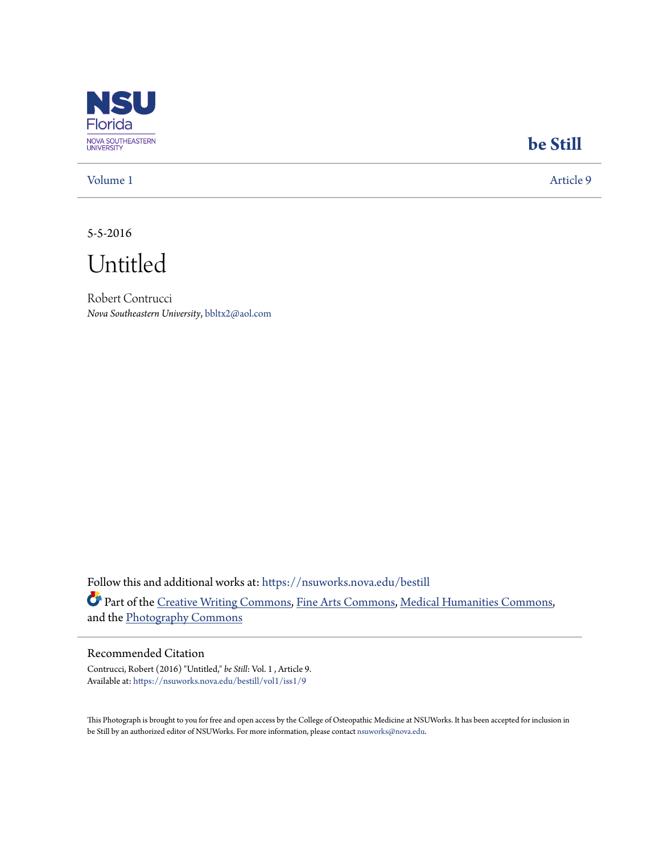

## **[be Still](https://nsuworks.nova.edu/bestill?utm_source=nsuworks.nova.edu%2Fbestill%2Fvol1%2Fiss1%2F9&utm_medium=PDF&utm_campaign=PDFCoverPages)**

[Volume 1](https://nsuworks.nova.edu/bestill/vol1?utm_source=nsuworks.nova.edu%2Fbestill%2Fvol1%2Fiss1%2F9&utm_medium=PDF&utm_campaign=PDFCoverPages) [Article 9](https://nsuworks.nova.edu/bestill/vol1/iss1/9?utm_source=nsuworks.nova.edu%2Fbestill%2Fvol1%2Fiss1%2F9&utm_medium=PDF&utm_campaign=PDFCoverPages)

5-5-2016

Untitled

Robert Contrucci *Nova Southeastern University*, bbltx2@aol.com

Follow this and additional works at: [https://nsuworks.nova.edu/bestill](https://nsuworks.nova.edu/bestill?utm_source=nsuworks.nova.edu%2Fbestill%2Fvol1%2Fiss1%2F9&utm_medium=PDF&utm_campaign=PDFCoverPages) Part of the [Creative Writing Commons](http://network.bepress.com/hgg/discipline/574?utm_source=nsuworks.nova.edu%2Fbestill%2Fvol1%2Fiss1%2F9&utm_medium=PDF&utm_campaign=PDFCoverPages), [Fine Arts Commons,](http://network.bepress.com/hgg/discipline/1141?utm_source=nsuworks.nova.edu%2Fbestill%2Fvol1%2Fiss1%2F9&utm_medium=PDF&utm_campaign=PDFCoverPages) [Medical Humanities Commons,](http://network.bepress.com/hgg/discipline/1303?utm_source=nsuworks.nova.edu%2Fbestill%2Fvol1%2Fiss1%2F9&utm_medium=PDF&utm_campaign=PDFCoverPages) and the [Photography Commons](http://network.bepress.com/hgg/discipline/1142?utm_source=nsuworks.nova.edu%2Fbestill%2Fvol1%2Fiss1%2F9&utm_medium=PDF&utm_campaign=PDFCoverPages)

## Recommended Citation

Contrucci, Robert (2016) "Untitled," *be Still*: Vol. 1 , Article 9. Available at: [https://nsuworks.nova.edu/bestill/vol1/iss1/9](https://nsuworks.nova.edu/bestill/vol1/iss1/9?utm_source=nsuworks.nova.edu%2Fbestill%2Fvol1%2Fiss1%2F9&utm_medium=PDF&utm_campaign=PDFCoverPages)

This Photograph is brought to you for free and open access by the College of Osteopathic Medicine at NSUWorks. It has been accepted for inclusion in be Still by an authorized editor of NSUWorks. For more information, please contact [nsuworks@nova.edu](mailto:nsuworks@nova.edu).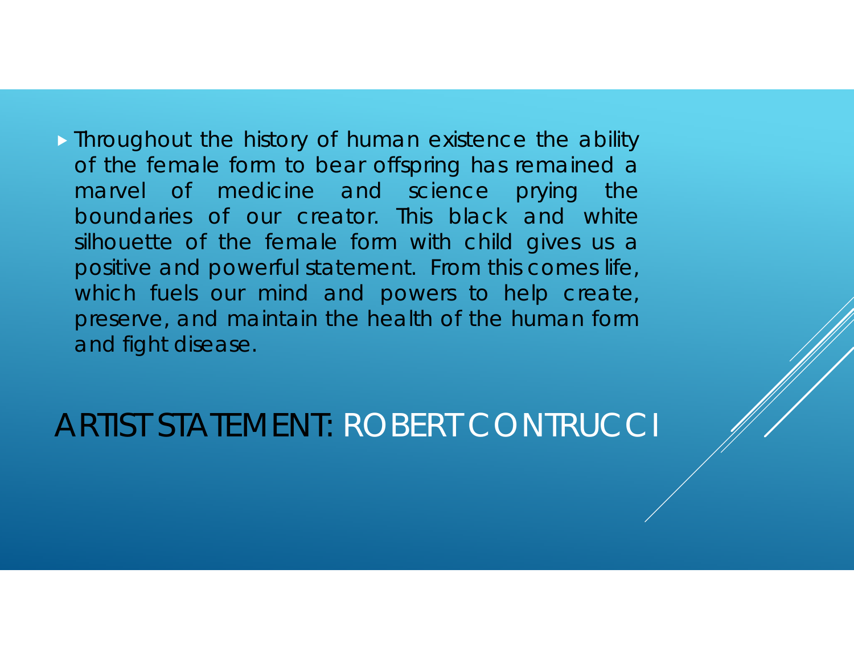**Findum** Throughout the history of human existence the ability of the female form to bear offspring has remained <sup>a</sup> marvel of medicine and science prying the boundaries of our creator. This black and white silhouette of the female form with child gives us <sup>a</sup> positive and powerful statement. From this comes life, which fuels our mind and powers to help create, preserve, and maintain the health of the human form and fight disease.

ARTIST STATEMENT: ROBERT CONTRUCCI